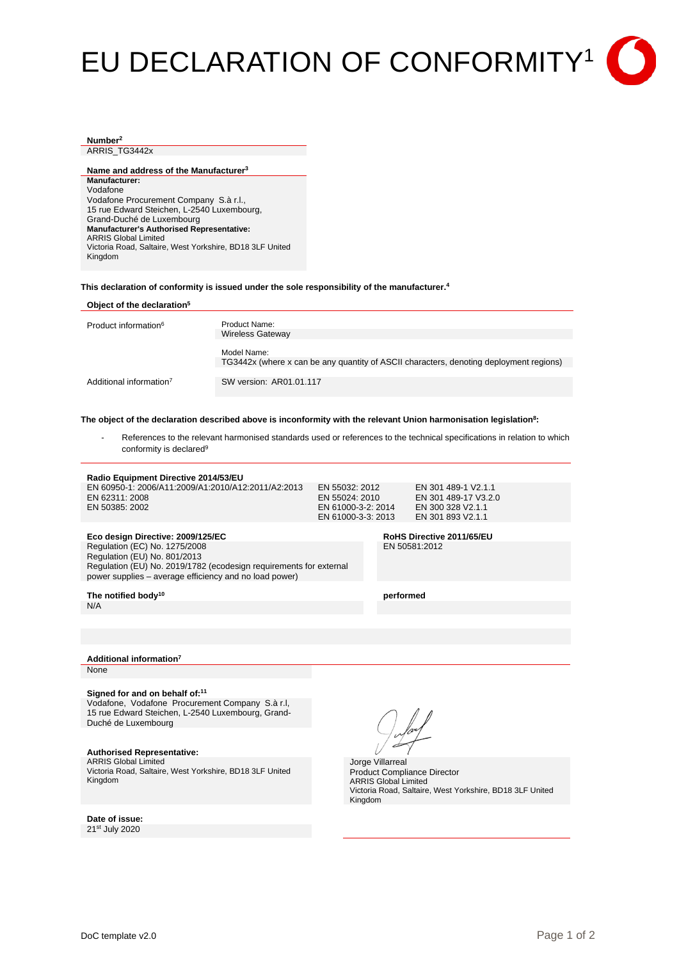# EU DECLARATION OF CONFORMITY1

## **Number2**

ARRIS TG3442x

**Name and address of the Manufacturer3 Manufacturer:** Vodafone Vodafone Procurement Company S.à r.l., 15 rue Edward Steichen, L-2540 Luxembourg, Grand-Duché de Luxembourg **Manufacturer's Authorised Representative:** ARRIS Global Limited Victoria Road, Saltaire, West Yorkshire, BD18 3LF United Kingdom

**This declaration of conformity is issued under the sole responsibility of the manufacturer. 4**

| Object of the declaration <sup>5</sup> |                                                                                                       |
|----------------------------------------|-------------------------------------------------------------------------------------------------------|
| Product information <sup>6</sup>       | Product Name:<br><b>Wireless Gateway</b>                                                              |
|                                        | Model Name:<br>TG3442x (where x can be any quantity of ASCII characters, denoting deployment regions) |
| Additional information <sup>7</sup>    | SW version: AR01.01.117                                                                               |

The object of the declaration described above is inconformity with the relevant Union harmonisation legislation<sup>8</sup>:

References to the relevant harmonised standards used or references to the technical specifications in relation to which conformity is declared<sup>9</sup>

#### **Radio Equipment Directive 2014/53/EU**

| EN 60950-1: 2006/A11:2009/A1:2010/A12:2011/A2:2013 | EN 55032: 2012     | EN 301 489-1 V2.1.1  |
|----------------------------------------------------|--------------------|----------------------|
| EN 62311: 2008                                     | EN 55024: 2010     | EN 301 489-17 V3.2.0 |
| EN 50385: 2002                                     | EN 61000-3-2: 2014 | EN 300 328 V2.1.1    |
|                                                    | EN 61000-3-3: 2013 | EN 301 893 V2.1.1    |
|                                                    |                    |                      |

#### **Eco design Directive: 2009/125/EC RoHS Directive 2011/65/EU**

Regulation (EC) No. 1275/2008 Regulation (EU) No. 801/2013 Regulation (EU) No. 2019/1782 (ecodesign requirements for external power supplies – average efficiency and no load power)

EN 50581:2012

The notified body<sup>10</sup> performed

N/A

**Additional information7**

**None** 

#### **Signed for and on behalf of:11**

Vodafone, Vodafone Procurement Company S.à r.l, 15 rue Edward Steichen, L-2540 Luxembourg, Grand-Duché de Luxembourg

### **Authorised Representative:**

ARRIS Global Limited Victoria Road, Saltaire, West Yorkshire, BD18 3LF United Kingdom

**Date of issue:** 21st July 2020

Jorge Villarreal Product Compliance Director ARRIS Global Limited Victoria Road, Saltaire, West Yorkshire, BD18 3LF United Kingdom